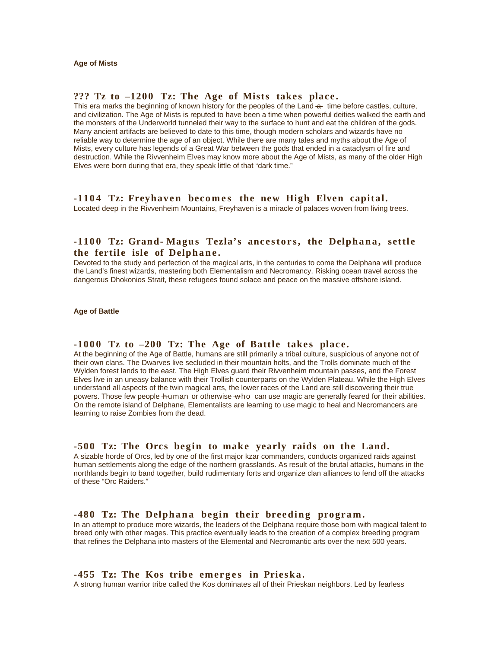### ??? Tz to -1200 Tz: The Age of Mists takes place.

This era marks the beginning of known history for the peoples of the Land  $\frac{1}{2}$  time before castles, culture, and civilization. The Age of Mists is reputed to have been a time when powerful deities walked the earth and the monsters of the Underworld tunneled their way to the surface to hunt and eat the children of the gods. Many ancient artifacts are believed to date to this time, though modern scholars and wizards have no reliable way to determine the age of an object. While there are many tales and myths about the Age of Mists, every culture has legends of a Great War between the gods that ended in a cataclysm of fire and destruction. While the Rivvenheim Elves may know more about the Age of Mists, as many of the older High Elves were born during that era, they speak little of that "dark time."

# **-1104 Tz: Freyhaven becomes the new High Elven capital.**

Located deep in the Rivvenheim Mountains, Freyhaven is a miracle of palaces woven from living trees.

# **-1100 Tz: Grand-Magus Tezla's ancestors, the Delphana, settle** the fertile isle of Delphane.

Devoted to the study and perfection of the magical arts, in the centuries to come the Delphana will produce the Land's finest wizards, mastering both Elementalism and Necromancy. Risking ocean travel across the dangerous Dhokonios Strait, these refugees found solace and peace on the massive offshore island.

#### **Age of Battle**

#### -1000 Tz to -200 Tz: The Age of Battle takes place.

At the beginning of the Age of Battle, humans are still primarily a tribal culture, suspicious of anyone not of their own clans. The Dwarves live secluded in their mountain holts, and the Trolls dominate much of the Wylden forest lands to the east. The High Elves guard their Rivvenheim mountain passes, and the Forest Elves live in an uneasy balance with their Trollish counterparts on the Wylden Plateau. While the High Elves understand all aspects of the twin magical arts, the lower races of the Land are still discovering their true powers. Those few people human or otherwise who can use magic are generally feared for their abilities. On the remote island of Delphane, Elementalists are learning to use magic to heal and Necromancers are learning to raise Zombies from the dead.

#### -500 Tz: The Orcs begin to make yearly raids on the Land.

A sizable horde of Orcs, led by one of the first major kzar commanders, conducts organized raids against human settlements along the edge of the northern grasslands. As result of the brutal attacks, humans in the northlands begin to band together, build rudimentary forts and organize clan alliances to fend off the attacks of these "Orc Raiders."

#### -480 Tz: The Delphana begin their breeding program.

In an attempt to produce more wizards, the leaders of the Delphana require those born with magical talent to breed only with other mages. This practice eventually leads to the creation of a complex breeding program that refines the Delphana into masters of the Elemental and Necromantic arts over the next 500 years.

#### **-455 Tz: The Kos tribe emerges in Prieska.**

A strong human warrior tribe called the Kos dominates all of their Prieskan neighbors. Led by fearless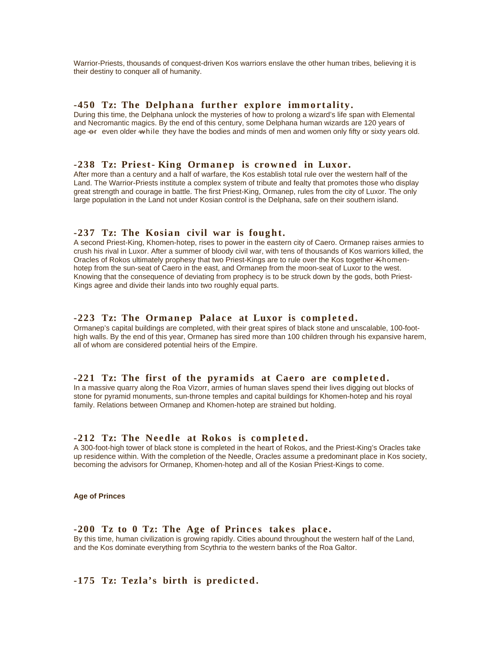Warrior-Priests, thousands of conquest-driven Kos warriors enslave the other human tribes, believing it is their destiny to conquer all of humanity.

#### **-450 Tz: The Delphana further explore immortality.**

During this time, the Delphana unlock the mysteries of how to prolong a wizard's life span with Elemental and Necromantic magics. By the end of this century, some Delphana human wizards are 120 years of age  $-$  even older  $-$ while they have the bodies and minds of men and women only fifty or sixty years old.

#### **-238 Tz: Priest-King Ormanep is crowned in Luxor.**

After more than a century and a half of warfare, the Kos establish total rule over the western half of the Land. The Warrior-Priests institute a complex system of tribute and fealty that promotes those who display great strength and courage in battle. The first Priest-King, Ormanep, rules from the city of Luxor. The only large population in the Land not under Kosian control is the Delphana, safe on their southern island.

#### **-237 Tz: The Kosian civil war is fought.**

A second Priest-King, Khomen-hotep, rises to power in the eastern city of Caero. Ormanep raises armies to crush his rival in Luxor. After a summer of bloody civil war, with tens of thousands of Kos warriors killed, the Oracles of Rokos ultimately prophesy that two Priest-Kings are to rule over the Kos together Khomenhotep from the sun-seat of Caero in the east, and Ormanep from the moon-seat of Luxor to the west. Knowing that the consequence of deviating from prophecy is to be struck down by the gods, both Priest-Kings agree and divide their lands into two roughly equal parts.

#### **-223 Tz: The Ormanep Palace at Luxor is completed.**

Ormanep's capital buildings are completed, with their great spires of black stone and unscalable, 100-foothigh walls. By the end of this year, Ormanep has sired more than 100 children through his expansive harem, all of whom are considered potential heirs of the Empire.

#### -221 Tz: The first of the pyramids at Caero are completed.

In a massive quarry along the Roa Vizorr, armies of human slaves spend their lives digging out blocks of stone for pyramid monuments, sun-throne temples and capital buildings for Khomen-hotep and his royal family. Relations between Ormanep and Khomen-hotep are strained but holding.

#### **-212 Tz: The Needle at Rokos is completed.**

A 300-foot-high tower of black stone is completed in the heart of Rokos, and the Priest-King's Oracles take up residence within. With the completion of the Needle, Oracles assume a predominant place in Kos society, becoming the advisors for Ormanep, Khomen-hotep and all of the Kosian Priest-Kings to come.

**Age of Princes**

#### -200 Tz to 0 Tz: The Age of Princes takes place.

By this time, human civilization is growing rapidly. Cities abound throughout the western half of the Land, and the Kos dominate everything from Scythria to the western banks of the Roa Galtor.

# **-175 Tz: Tezla's birth is predicted.**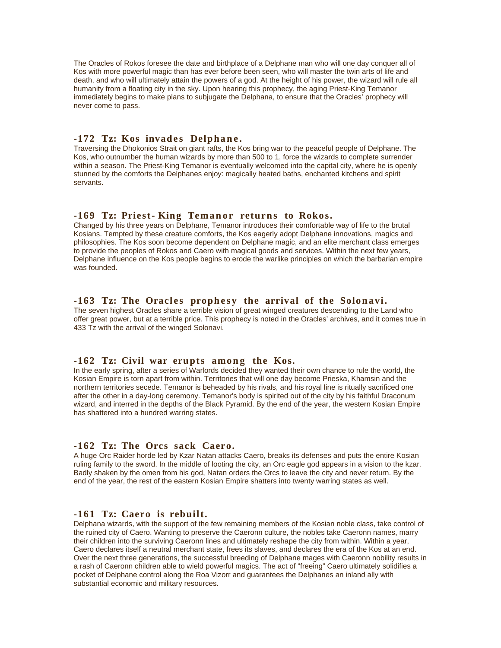The Oracles of Rokos foresee the date and birthplace of a Delphane man who will one day conquer all of Kos with more powerful magic than has ever before been seen, who will master the twin arts of life and death, and who will ultimately attain the powers of a god. At the height of his power, the wizard will rule all humanity from a floating city in the sky. Upon hearing this prophecy, the aging Priest-King Temanor immediately begins to make plans to subjugate the Delphana, to ensure that the Oracles' prophecy will never come to pass.

# **-172 Tz: Kos invades Delphane.**

Traversing the Dhokonios Strait on giant rafts, the Kos bring war to the peaceful people of Delphane. The Kos, who outnumber the human wizards by more than 500 to 1, force the wizards to complete surrender within a season. The Priest-King Temanor is eventually welcomed into the capital city, where he is openly stunned by the comforts the Delphanes enjoy: magically heated baths, enchanted kitchens and spirit servants.

# **-169 Tz: Priest-King Temanor returns to Rokos.**

Changed by his three years on Delphane, Temanor introduces their comfortable way of life to the brutal Kosians. Tempted by these creature comforts, the Kos eagerly adopt Delphane innovations, magics and philosophies. The Kos soon become dependent on Delphane magic, and an elite merchant class emerges to provide the peoples of Rokos and Caero with magical goods and services. Within the next few years, Delphane influence on the Kos people begins to erode the warlike principles on which the barbarian empire was founded.

#### **-163 Tz: The Oracles prophesy the arrival of the Solonavi.**

The seven highest Oracles share a terrible vision of great winged creatures descending to the Land who offer great power, but at a terrible price. This prophecy is noted in the Oracles' archives, and it comes true in 433 Tz with the arrival of the winged Solonavi.

#### **-162 Tz: Civil war erupts among the Kos.**

In the early spring, after a series of Warlords decided they wanted their own chance to rule the world, the Kosian Empire is torn apart from within. Territories that will one day become Prieska, Khamsin and the northern territories secede. Temanor is beheaded by his rivals, and his royal line is ritually sacrificed one after the other in a day-long ceremony. Temanor's body is spirited out of the city by his faithful Draconum wizard, and interred in the depths of the Black Pyramid. By the end of the year, the western Kosian Empire has shattered into a hundred warring states.

## **-162 Tz: The Orcs sack Caero.**

A huge Orc Raider horde led by Kzar Natan attacks Caero, breaks its defenses and puts the entire Kosian ruling family to the sword. In the middle of looting the city, an Orc eagle god appears in a vision to the kzar. Badly shaken by the omen from his god, Natan orders the Orcs to leave the city and never return. By the end of the year, the rest of the eastern Kosian Empire shatters into twenty warring states as well.

#### **-161 Tz: Caero is rebuilt.**

Delphana wizards, with the support of the few remaining members of the Kosian noble class, take control of the ruined city of Caero. Wanting to preserve the Caeronn culture, the nobles take Caeronn names, marry their children into the surviving Caeronn lines and ultimately reshape the city from within. Within a year, Caero declares itself a neutral merchant state, frees its slaves, and declares the era of the Kos at an end. Over the next three generations, the successful breeding of Delphane mages with Caeronn nobility results in a rash of Caeronn children able to wield powerful magics. The act of "freeing" Caero ultimately solidifies a pocket of Delphane control along the Roa Vizorr and guarantees the Delphanes an inland ally with substantial economic and military resources.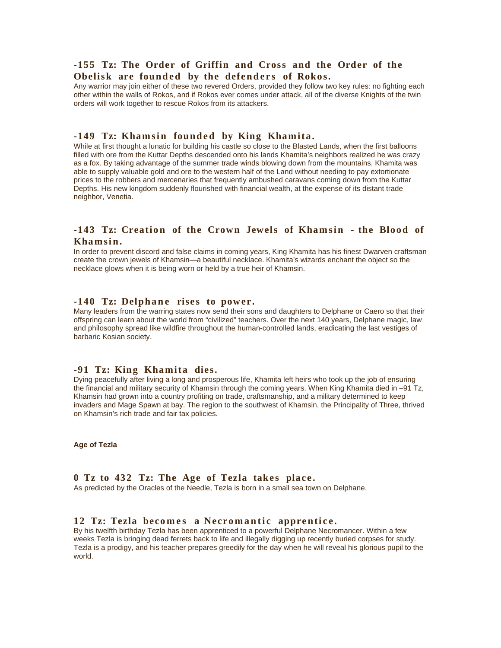# **-155 Tz: The Order of Griffin and Cross and the Order of the**  Obelisk are founded by the defenders of Rokos.

Any warrior may join either of these two revered Orders, provided they follow two key rules: no fighting each other within the walls of Rokos, and if Rokos ever comes under attack, all of the diverse Knights of the twin orders will work together to rescue Rokos from its attackers.

#### **-149 Tz: Khamsin founded by King Khamita.**

While at first thought a lunatic for building his castle so close to the Blasted Lands, when the first balloons filled with ore from the Kuttar Depths descended onto his lands Khamita's neighbors realized he was crazy as a fox. By taking advantage of the summer trade winds blowing down from the mountains, Khamita was able to supply valuable gold and ore to the western half of the Land without needing to pay extortionate prices to the robbers and mercenaries that frequently ambushed caravans coming down from the Kuttar Depths. His new kingdom suddenly flourished with financial wealth, at the expense of its distant trade neighbor, Venetia.

# -143 Tz: Creation of the Crown Jewels of Khamsin - the Blood of Khamsin.

In order to prevent discord and false claims in coming years, King Khamita has his finest Dwarven craftsman create the crown jewels of Khamsin—a beautiful necklace. Khamita's wizards enchant the object so the necklace glows when it is being worn or held by a true heir of Khamsin.

### **-140 Tz: Delphane rises to power.**

Many leaders from the warring states now send their sons and daughters to Delphane or Caero so that their offspring can learn about the world from "civilized" teachers. Over the next 140 years, Delphane magic, law and philosophy spread like wildfire throughout the human-controlled lands, eradicating the last vestiges of barbaric Kosian society.

## **-91 Tz: King Khamita dies.**

Dying peacefully after living a long and prosperous life, Khamita left heirs who took up the job of ensuring the financial and military security of Khamsin through the coming years. When King Khamita died in –91 Tz, Khamsin had grown into a country profiting on trade, craftsmanship, and a military determined to keep invaders and Mage Spawn at bay. The region to the southwest of Khamsin, the Principality of Three, thrived on Khamsin's rich trade and fair tax policies.

**Age of Tezla**

# 0 Tz to 432 Tz: The Age of Tezla takes place.

As predicted by the Oracles of the Needle, Tezla is born in a small sea town on Delphane.

#### 12 Tz: Tezla becomes a Necromantic apprentice.

By his twelfth birthday Tezla has been apprenticed to a powerful Delphane Necromancer. Within a few weeks Tezla is bringing dead ferrets back to life and illegally digging up recently buried corpses for study. Tezla is a prodigy, and his teacher prepares greedily for the day when he will reveal his glorious pupil to the world.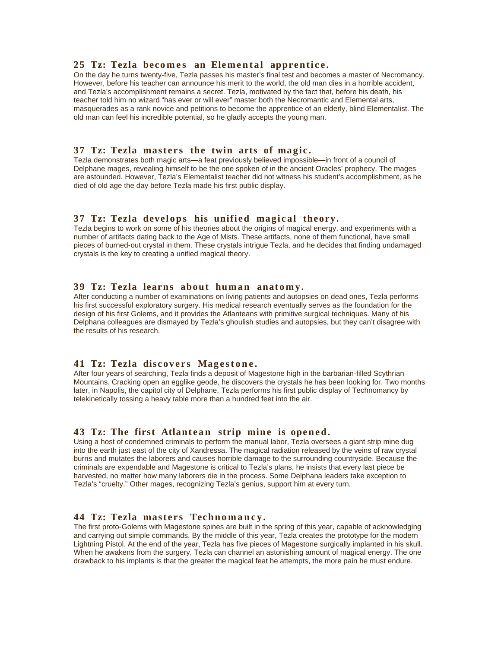#### 25 Tz: Tezla becomes an Elemental apprentice.

On the day he turns twenty-five, Tezla passes his master's final test and becomes a master of Necromancy. However, before his teacher can announce his merit to the world, the old man dies in a horrible accident, and Tezla's accomplishment remains a secret. Tezla, motivated by the fact that, before his death, his teacher told him no wizard "has ever or will ever" master both the Necromantic and Elemental arts, masquerades as a rank novice and petitions to become the apprentice of an elderly, blind Elementalist. The old man can feel his incredible potential, so he gladly accepts the young man.

## **37 Tz: Tezla masters the twin arts of magic.**

Tezla demonstrates both magic arts—a feat previously believed impossible—in front of a council of Delphane mages, revealing himself to be the one spoken of in the ancient Oracles' prophecy. The mages are astounded. However, Tezla's Elementalist teacher did not witness his student's accomplishment, as he died of old age the day before Tezla made his first public display.

## **37 Tz: Tezla develops his unified magical theory.**

Tezla begins to work on some of his theories about the origins of magical energy, and experiments with a number of artifacts dating back to the Age of Mists. These artifacts, none of them functional, have small pieces of burned-out crystal in them. These crystals intrigue Tezla, and he decides that finding undamaged crystals is the key to creating a unified magical theory.

#### **39 Tz: Tezla learns about human anatomy.**

After conducting a number of examinations on living patients and autopsies on dead ones, Tezla performs his first successful exploratory surgery. His medical research eventually serves as the foundation for the design of his first Golems, and it provides the Atlanteans with primitive surgical techniques. Many of his Delphana colleagues are dismayed by Tezla's ghoulish studies and autopsies, but they can't disagree with the results of his research.

#### **41 Tz: Tezla discovers Magestone.**

After four years of searching, Tezla finds a deposit of Magestone high in the barbarian-filled Scythrian Mountains. Cracking open an egglike geode, he discovers the crystals he has been looking for. Two months later, in Napolis, the capitol city of Delphane, Tezla performs his first public display of Technomancy by telekinetically tossing a heavy table more than a hundred feet into the air.

# **43 Tz: The first Atlantean strip mine is opened.**

Using a host of condemned criminals to perform the manual labor, Tezla oversees a giant strip mine dug into the earth just east of the city of Xandressa. The magical radiation released by the veins of raw crystal burns and mutates the laborers and causes horrible damage to the surrounding countryside. Because the criminals are expendable and Magestone is critical to Tezla's plans, he insists that every last piece be harvested, no matter how many laborers die in the process. Some Delphana leaders take exception to Tezla's "cruelty." Other mages, recognizing Tezla's genius, support him at every turn.

# 44 Tz: Tezla masters Technomancy.

The first proto-Golems with Magestone spines are built in the spring of this year, capable of acknowledging and carrying out simple commands. By the middle of this year, Tezla creates the prototype for the modern Lightning Pistol. At the end of the year, Tezla has five pieces of Magestone surgically implanted in his skull. When he awakens from the surgery, Tezla can channel an astonishing amount of magical energy. The one drawback to his implants is that the greater the magical feat he attempts, the more pain he must endure.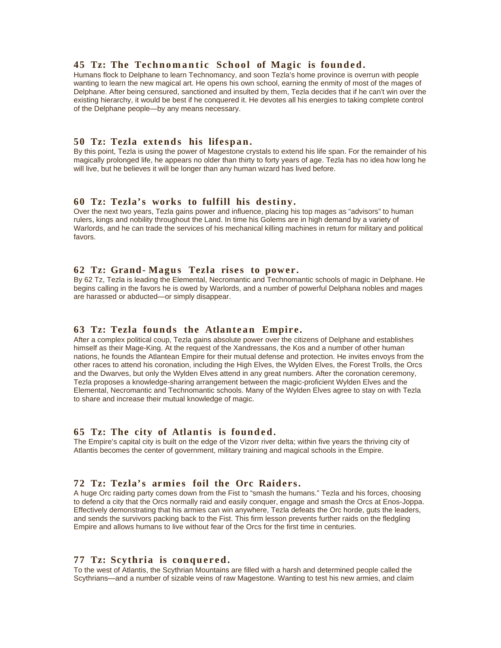#### **45 Tz: The Technomantic School of Magic is founded.**

Humans flock to Delphane to learn Technomancy, and soon Tezla's home province is overrun with people wanting to learn the new magical art. He opens his own school, earning the enmity of most of the mages of Delphane. After being censured, sanctioned and insulted by them, Tezla decides that if he can't win over the existing hierarchy, it would be best if he conquered it. He devotes all his energies to taking complete control of the Delphane people-by any means necessary.

#### **50 Tz: Tezla extends his lifespan.**

By this point, Tezla is using the power of Magestone crystals to extend his life span. For the remainder of his magically prolonged life, he appears no older than thirty to forty years of age. Tezla has no idea how long he will live, but he believes it will be longer than any human wizard has lived before.

## **60 Tz: Tezla's works to fulfill his destiny.**

Over the next two years, Tezla gains power and influence, placing his top mages as "advisors" to human rulers, kings and nobility throughout the Land. In time his Golems are in high demand by a variety of Warlords, and he can trade the services of his mechanical killing machines in return for military and political favors.

#### **62 Tz: Grand-Magus Tezla rises to power.**

By 62 Tz, Tezla is leading the Elemental, Necromantic and Technomantic schools of magic in Delphane. He begins calling in the favors he is owed by Warlords, and a number of powerful Delphana nobles and mages are harassed or abducted-or simply disappear.

#### **63 Tz: Tezla founds the Atlantean Empire.**

After a complex political coup, Tezla gains absolute power over the citizens of Delphane and establishes himself as their Mage-King. At the request of the Xandressans, the Kos and a number of other human nations, he founds the Atlantean Empire for their mutual defense and protection. He invites envoys from the other races to attend his coronation, including the High Elves, the Wylden Elves, the Forest Trolls, the Orcs and the Dwarves, but only the Wylden Elves attend in any great numbers. After the coronation ceremony, Tezla proposes a knowledge-sharing arrangement between the magic-proficient Wylden Elves and the Elemental, Necromantic and Technomantic schools. Many of the Wylden Elves agree to stay on with Tezla to share and increase their mutual knowledge of magic.

#### **65 Tz: The city of Atlantis is founded.**

The Empire's capital city is built on the edge of the Vizorr river delta; within five years the thriving city of Atlantis becomes the center of government, military training and magical schools in the Empire.

#### **72 Tz: Tezla's armies foil the Orc Raiders.**

A huge Orc raiding party comes down from the Fist to "smash the humans." Tezla and his forces, choosing to defend a city that the Orcs normally raid and easily conquer, engage and smash the Orcs at Enos-Joppa. Effectively demonstrating that his armies can win anywhere, Tezla defeats the Orc horde, guts the leaders, and sends the survivors packing back to the Fist. This firm lesson prevents further raids on the fledgling Empire and allows humans to live without fear of the Orcs for the first time in centuries.

#### **77 Tz: Scythria is conquered.**

To the west of Atlantis, the Scythrian Mountains are filled with a harsh and determined people called the Scythrians—and a number of sizable veins of raw Magestone. Wanting to test his new armies, and claim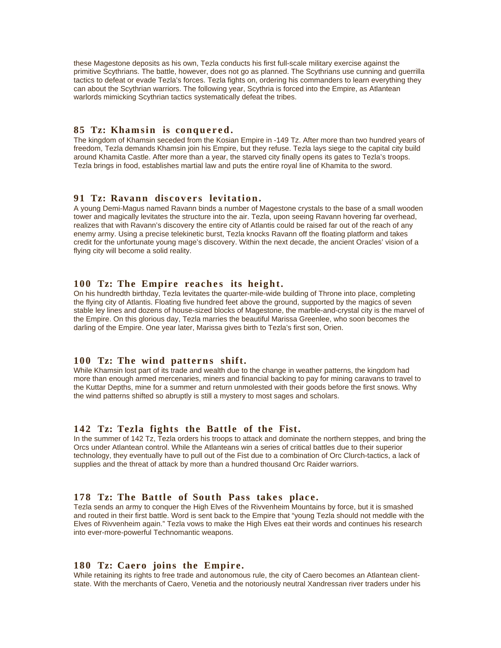these Magestone deposits as his own, Tezla conducts his first full-scale military exercise against the primitive Scythrians. The battle, however, does not go as planned. The Scythrians use cunning and guerrilla tactics to defeat or evade Tezla's forces. Tezla fights on, ordering his commanders to learn everything they can about the Scythrian warriors. The following year, Scythria is forced into the Empire, as Atlantean warlords mimicking Scythrian tactics systematically defeat the tribes.

#### **85 Tz: Khamsin is conquered.**

The kingdom of Khamsin seceded from the Kosian Empire in -149 Tz. After more than two hundred years of freedom, Tezla demands Khamsin join his Empire, but they refuse. Tezla lays siege to the capital city build around Khamita Castle. After more than a year, the starved city finally opens its gates to Tezla's troops. Tezla brings in food, establishes martial law and puts the entire royal line of Khamita to the sword.

# **91 Tz: Ravann discovers levitation.**

A young Demi-Magus named Ravann binds a number of Magestone crystals to the base of a small wooden tower and magically levitates the structure into the air. Tezla, upon seeing Ravann hovering far overhead, realizes that with Ravann's discovery the entire city of Atlantis could be raised far out of the reach of any enemy army. Using a precise telekinetic burst, Tezla knocks Ravann off the floating platform and takes credit for the unfortunate young mage's discovery. Within the next decade, the ancient Oracles' vision of a flying city will become a solid reality.

## **100 Tz: The Empire reaches its height.**

On his hundredth birthday, Tezla levitates the quarter-mile-wide building of Throne into place, completing the flying city of Atlantis. Floating five hundred feet above the ground, supported by the magics of seven stable ley lines and dozens of house-sized blocks of Magestone, the marble-and-crystal city is the marvel of the Empire. On this glorious day, Tezla marries the beautiful Marissa Greenlee, who soon becomes the darling of the Empire. One year later, Marissa gives birth to Tezla's first son, Orien.

#### **100 Tz: The wind patterns shift.**

While Khamsin lost part of its trade and wealth due to the change in weather patterns, the kingdom had more than enough armed mercenaries, miners and financial backing to pay for mining caravans to travel to the Kuttar Depths, mine for a summer and return unmolested with their goods before the first snows. Why the wind patterns shifted so abruptly is still a mystery to most sages and scholars.

#### **142 Tz: Tezla fights the Battle of the Fist.**

In the summer of 142 Tz, Tezla orders his troops to attack and dominate the northern steppes, and bring the Orcs under Atlantean control. While the Atlanteans win a series of critical battles due to their superior technology, they eventually have to pull out of the Fist due to a combination of Orc Clurch-tactics, a lack of supplies and the threat of attack by more than a hundred thousand Orc Raider warriors.

#### 178 Tz: The Battle of South Pass takes place.

Tezla sends an army to conquer the High Elves of the Rivvenheim Mountains by force, but it is smashed and routed in their first battle. Word is sent back to the Empire that "young Tezla should not meddle with the Elves of Rivvenheim again." Tezla vows to make the High Elves eat their words and continues his research into ever-more-powerful Technomantic weapons.

#### **180 Tz: Caero joins the Empire.**

While retaining its rights to free trade and autonomous rule, the city of Caero becomes an Atlantean clientstate. With the merchants of Caero, Venetia and the notoriously neutral Xandressan river traders under his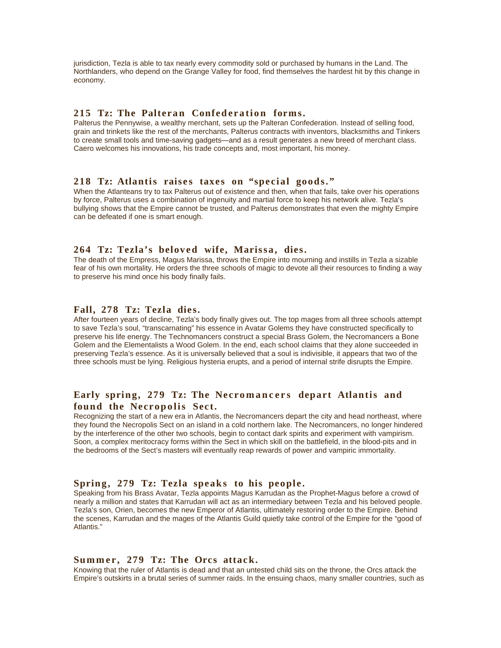jurisdiction, Tezla is able to tax nearly every commodity sold or purchased by humans in the Land. The Northlanders, who depend on the Grange Valley for food, find themselves the hardest hit by this change in economy.

# 215 Tz: The Palteran Confederation forms.

Palterus the Pennywise, a wealthy merchant, sets up the Palteran Confederation. Instead of selling food, grain and trinkets like the rest of the merchants, Palterus contracts with inventors, blacksmiths and Tinkers to create small tools and time-saving gadgets—and as a result generates a new breed of merchant class. Caero welcomes his innovations, his trade concepts and, most important, his money.

## 218 Tz: Atlantis raises taxes on "special goods."

When the Atlanteans try to tax Palterus out of existence and then, when that fails, take over his operations by force, Palterus uses a combination of ingenuity and martial force to keep his network alive. Tezla's bullying shows that the Empire cannot be trusted, and Palterus demonstrates that even the mighty Empire can be defeated if one is smart enough.

# 264 Tz: Tezla's beloved wife, Marissa, dies.

The death of the Empress, Magus Marissa, throws the Empire into mourning and instills in Tezla a sizable fear of his own mortality. He orders the three schools of magic to devote all their resources to finding a way to preserve his mind once his body finally fails.

## **Fall, 278 Tz: Tezla dies.**

After fourteen years of decline, Tezla's body finally gives out. The top mages from all three schools attempt to save Tezla's soul, "transcarnating" his essence in Avatar Golems they have constructed specifically to preserve his life energy. The Technomancers construct a special Brass Golem, the Necromancers a Bone Golem and the Elementalists a Wood Golem. In the end, each school claims that they alone succeeded in preserving Tezla's essence. As it is universally believed that a soul is indivisible, it appears that two of the three schools must be lying. Religious hysteria erupts, and a period of internal strife disrupts the Empire.

# **Early spring, 279 Tz: The Necromancers depart Atlantis and** found the Necropolis Sect.

Recognizing the start of a new era in Atlantis, the Necromancers depart the city and head northeast, where they found the Necropolis Sect on an island in a cold northern lake. The Necromancers, no longer hindered by the interference of the other two schools, begin to contact dark spirits and experiment with vampirism. Soon, a complex meritocracy forms within the Sect in which skill on the battlefield, in the blood-pits and in the bedrooms of the Sect's masters will eventually reap rewards of power and vampiric immortality.

#### Spring, 279 Tz: Tezla speaks to his people.

Speaking from his Brass Avatar, Tezla appoints Magus Karrudan as the Prophet-Magus before a crowd of nearly a million and states that Karrudan will act as an intermediary between Tezla and his beloved people. Tezla's son, Orien, becomes the new Emperor of Atlantis, ultimately restoring order to the Empire. Behind the scenes, Karrudan and the mages of the Atlantis Guild quietly take control of the Empire for the "good of Atlantis."

#### Summer, 279 Tz: The Orcs attack.

Knowing that the ruler of Atlantis is dead and that an untested child sits on the throne, the Orcs attack the Empire's outskirts in a brutal series of summer raids. In the ensuing chaos, many smaller countries, such as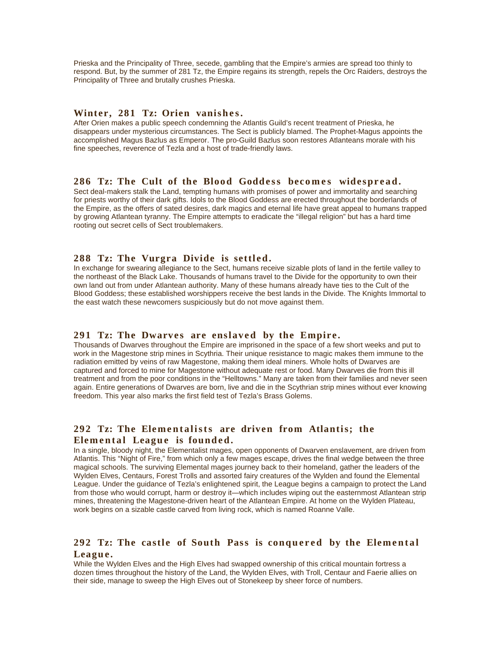Prieska and the Principality of Three, secede, gambling that the Empire's armies are spread too thinly to respond. But, by the summer of 281 Tz, the Empire regains its strength, repels the Orc Raiders, destroys the Principality of Three and brutally crushes Prieska.

## Winter, 281 Tz: Orien vanishes.

After Orien makes a public speech condemning the Atlantis Guild's recent treatment of Prieska, he disappears under mysterious circumstances. The Sect is publicly blamed. The Prophet-Magus appoints the accomplished Magus Bazlus as Emperor. The pro-Guild Bazlus soon restores Atlanteans morale with his fine speeches, reverence of Tezla and a host of trade-friendly laws.

#### 286 Tz: The Cult of the Blood Goddess becomes widespread.

Sect deal-makers stalk the Land, tempting humans with promises of power and immortality and searching for priests worthy of their dark gifts. Idols to the Blood Goddess are erected throughout the borderlands of the Empire, as the offers of sated desires, dark magics and eternal life have great appeal to humans trapped by growing Atlantean tyranny. The Empire attempts to eradicate the "illegal religion" but has a hard time rooting out secret cells of Sect troublemakers.

# 288 Tz: The Vurgra Divide is settled.

In exchange for swearing allegiance to the Sect, humans receive sizable plots of land in the fertile valley to the northeast of the Black Lake. Thousands of humans travel to the Divide for the opportunity to own their own land out from under Atlantean authority. Many of these humans already have ties to the Cult of the Blood Goddess; these established worshippers receive the best lands in the Divide. The Knights Immortal to the east watch these newcomers suspiciously but do not move against them.

#### 291 Tz: The Dwarves are enslaved by the Empire.

Thousands of Dwarves throughout the Empire are imprisoned in the space of a few short weeks and put to work in the Magestone strip mines in Scythria. Their unique resistance to magic makes them immune to the radiation emitted by veins of raw Magestone, making them ideal miners. Whole holts of Dwarves are captured and forced to mine for Magestone without adequate rest or food. Many Dwarves die from this ill treatment and from the poor conditions in the "Helltowns." Many are taken from their families and never seen again. Entire generations of Dwarves are born, live and die in the Scythrian strip mines without ever knowing freedom. This year also marks the first field test of Tezla's Brass Golems.

# 292 Tz: The Elementalists are driven from Atlantis; the Elemental League is founded.

In a single, bloody night, the Elementalist mages, open opponents of Dwarven enslavement, are driven from Atlantis. This "Night of Fire," from which only a few mages escape, drives the final wedge between the three magical schools. The surviving Elemental mages journey back to their homeland, gather the leaders of the Wylden Elves, Centaurs, Forest Trolls and assorted fairy creatures of the Wylden and found the Elemental League. Under the guidance of Tezla's enlightened spirit, the League begins a campaign to protect the Land from those who would corrupt, harm or destroy it—which includes wiping out the easternmost Atlantean strip mines, threatening the Magestone-driven heart of the Atlantean Empire. At home on the Wylden Plateau, work begins on a sizable castle carved from living rock, which is named Roanne Valle.

# **292 Tz: The castle of South Pass is conquered by the Elemental** League.

While the Wylden Elves and the High Elves had swapped ownership of this critical mountain fortress a dozen times throughout the history of the Land, the Wylden Elves, with Troll, Centaur and Faerie allies on their side, manage to sweep the High Elves out of Stonekeep by sheer force of numbers.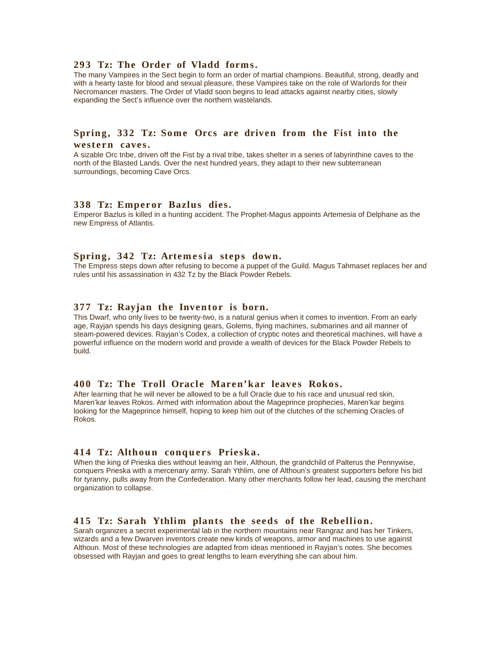#### **293 Tz: The Order of Vladd forms.**

The many Vampires in the Sect begin to form an order of martial champions. Beautiful, strong, deadly and with a hearty taste for blood and sexual pleasure, these Vampires take on the role of Warlords for their Necromancer masters. The Order of Vladd soon begins to lead attacks against nearby cities, slowly expanding the Sect's influence over the northern wastelands.

## Spring, 332 Tz: Some Orcs are driven from the Fist into the western caves.

A sizable Orc tribe, driven off the Fist by a rival tribe, takes shelter in a series of labyrinthine caves to the north of the Blasted Lands. Over the next hundred years, they adapt to their new subterranean surroundings, becoming Cave Orcs.

#### **338 Tz: Emperor Bazlus dies.**

Emperor Bazlus is killed in a hunting accident. The Prophet-Magus appoints Artemesia of Delphane as the new Empress of Atlantis.

## Spring, 342 Tz: Artemesia steps down.

The Empress steps down after refusing to become a puppet of the Guild. Magus Tahmaset replaces her and rules until his assassination in 432 Tz by the Black Powder Rebels.

#### **377 Tz: Rayjan the Inventor is born.**

This Dwarf, who only lives to be twenty-two, is a natural genius when it comes to invention. From an early age, Rayjan spends his days designing gears, Golems, flying machines, submarines and all manner of steam-powered devices. Rayjan's Codex, a collection of cryptic notes and theoretical machines, will have a powerful influence on the modern world and provide a wealth of devices for the Black Powder Rebels to build.

## 400 Tz: The Troll Oracle Maren'kar leaves Rokos.

After learning that he will never be allowed to be a full Oracle due to his race and unusual red skin, Maren'kar leaves Rokos. Armed with information about the Mageprince prophecies, Maren'kar begins looking for the Mageprince himself, hoping to keep him out of the clutches of the scheming Oracles of Rokos.

#### **414 Tz: Althoun conquers Prieska.**

When the king of Prieska dies without leaving an heir, Althoun, the grandchild of Palterus the Pennywise, conquers Prieska with a mercenary army. Sarah Ythlim, one of Althoun's greatest supporters before his bid for tyranny, pulls away from the Confederation. Many other merchants follow her lead, causing the merchant organization to collapse.

#### 415 Tz: Sarah Ythlim plants the seeds of the Rebellion.

Sarah organizes a secret experimental lab in the northern mountains near Rangraz and has her Tinkers, wizards and a few Dwarven inventors create new kinds of weapons, armor and machines to use against Althoun. Most of these technologies are adapted from ideas mentioned in Rayjan's notes. She becomes obsessed with Rayjan and goes to great lengths to learn everything she can about him.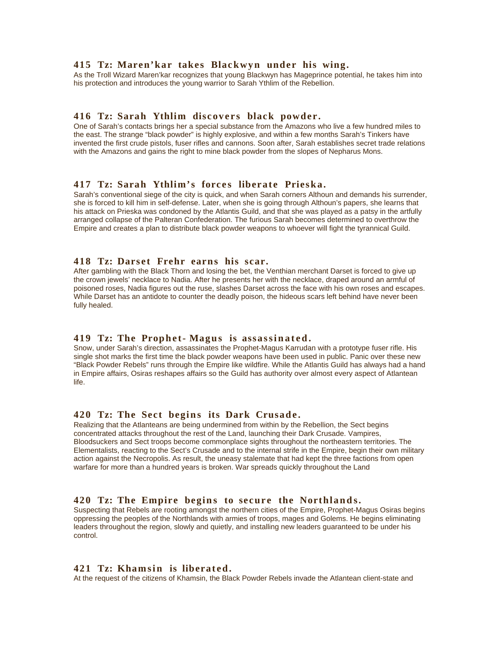#### **415 Tz: Maren'kar takes Blackwyn under his wing.**

As the Troll Wizard Maren'kar recognizes that young Blackwyn has Mageprince potential, he takes him into his protection and introduces the young warrior to Sarah Ythlim of the Rebellion.

## 416 Tz: Sarah Ythlim discovers black powder.

One of Sarah's contacts brings her a special substance from the Amazons who live a few hundred miles to the east. The strange "black powder" is highly explosive, and within a few months Sarah's Tinkers have invented the first crude pistols, fuser rifles and cannons. Soon after, Sarah establishes secret trade relations with the Amazons and gains the right to mine black powder from the slopes of Nepharus Mons.

# 417 Tz: Sarah Ythlim's forces liberate Prieska.

Sarah's conventional siege of the city is quick, and when Sarah corners Althoun and demands his surrender, she is forced to kill him in self-defense. Later, when she is going through Althoun's papers, she learns that his attack on Prieska was condoned by the Atlantis Guild, and that she was played as a patsy in the artfully arranged collapse of the Palteran Confederation. The furious Sarah becomes determined to overthrow the Empire and creates a plan to distribute black powder weapons to whoever will fight the tyrannical Guild.

#### **418 Tz: Darset Frehr earns his scar.**

After gambling with the Black Thorn and losing the bet, the Venthian merchant Darset is forced to give up the crown jewels' necklace to Nadia. After he presents her with the necklace, draped around an armful of poisoned roses, Nadia figures out the ruse, slashes Darset across the face with his own roses and escapes. While Darset has an antidote to counter the deadly poison, the hideous scars left behind have never been fully healed.

## **419 Tz: The Prophet-Magus is assassinated.**

Snow, under Sarah's direction, assassinates the Prophet-Magus Karrudan with a prototype fuser rifle. His single shot marks the first time the black powder weapons have been used in public. Panic over these new "Black Powder Rebels" runs through the Empire like wildfire. While the Atlantis Guild has always had a hand in Empire affairs, Osiras reshapes affairs so the Guild has authority over almost every aspect of Atlantean life.

#### **420 Tz: The Sect begins its Dark Crusade.**

Realizing that the Atlanteans are being undermined from within by the Rebellion, the Sect begins concentrated attacks throughout the rest of the Land, launching their Dark Crusade. Vampires, Bloodsuckers and Sect troops become commonplace sights throughout the northeastern territories. The Elementalists, reacting to the Sect's Crusade and to the internal strife in the Empire, begin their own military action against the Necropolis. As result, the uneasy stalemate that had kept the three factions from open warfare for more than a hundred years is broken. War spreads quickly throughout the Land

# 420 Tz: The Empire begins to secure the Northlands.

Suspecting that Rebels are rooting amongst the northern cities of the Empire, Prophet-Magus Osiras begins oppressing the peoples of the Northlands with armies of troops, mages and Golems. He begins eliminating leaders throughout the region, slowly and quietly, and installing new leaders guaranteed to be under his control.

## **421 Tz: Khamsin is liberated.**

At the request of the citizens of Khamsin, the Black Powder Rebels invade the Atlantean client-state and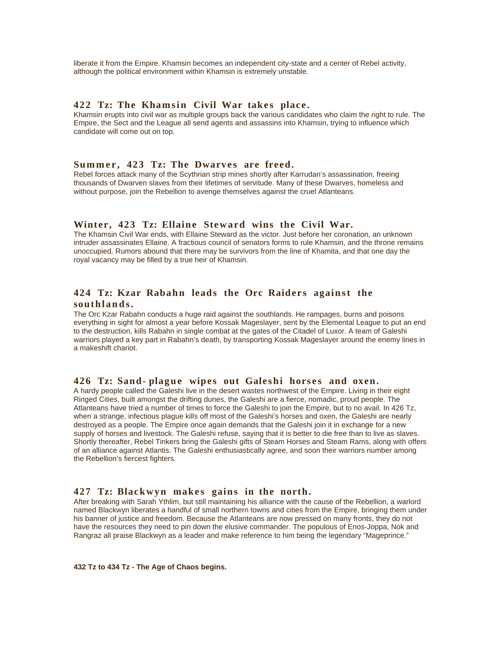liberate it from the Empire. Khamsin becomes an independent city-state and a center of Rebel activity, although the political environment within Khamsin is extremely unstable.

#### **422 Tz: The Khamsin Civil War takes place.**

Khamsin erupts into civil war as multiple groups back the various candidates who claim the right to rule. The Empire, the Sect and the League all send agents and assassins into Khamsin, trying to influence which candidate will come out on top.

# Summer, 423 Tz: The Dwarves are freed.

Rebel forces attack many of the Scythrian strip mines shortly after Karrudan's assassination, freeing thousands of Dwarven slaves from their lifetimes of servitude. Many of these Dwarves, homeless and without purpose, join the Rebellion to avenge themselves against the cruel Atlanteans.

#### Winter, 423 Tz: Ellaine Steward wins the Civil War.

The Khamsin Civil War ends, with Ellaine Steward as the victor. Just before her coronation, an unknown intruder assassinates Ellaine. A fractious council of senators forms to rule Khamsin, and the throne remains unoccupied. Rumors abound that there may be survivors from the line of Khamita, and that one day the royal vacancy may be filled by a true heir of Khamsin.

## 424 Tz: Kzar Rabahn leads the Orc Raiders against the **southl a n d s .**

The Orc Kzar Rabahn conducts a huge raid against the southlands. He rampages, burns and poisons everything in sight for almost a year before Kossak Mageslayer, sent by the Elemental League to put an end to the destruction, kills Rabahn in single combat at the gates of the Citadel of Luxor. A team of Galeshi warriors played a key part in Rabahn's death, by transporting Kossak Mageslayer around the enemy lines in a makeshift chariot.

#### 426 Tz: Sand- plague wipes out Galeshi horses and oxen.

A hardy people called the Galeshi live in the desert wastes northwest of the Empire. Living in their eight Ringed Cities, built amongst the drifting dunes, the Galeshi are a fierce, nomadic, proud people. The Atlanteans have tried a number of times to force the Galeshi to join the Empire, but to no avail. In 426 Tz, when a strange, infectious plague kills off most of the Galeshi's horses and oxen, the Galeshi are nearly destroyed as a people. The Empire once again demands that the Galeshi join it in exchange for a new supply of horses and livestock. The Galeshi refuse, saying that it is better to die free than to live as slaves. Shortly thereafter, Rebel Tinkers bring the Galeshi gifts of Steam Horses and Steam Rams, along with offers of an alliance against Atlantis. The Galeshi enthusiastically agree, and soon their warriors number among the Rebellion's fiercest fighters.

#### 427 Tz: Blackwyn makes gains in the north.

After breaking with Sarah Ythlim, but still maintaining his alliance with the cause of the Rebellion, a warlord named Blackwyn liberates a handful of small northern towns and cities from the Empire, bringing them under his banner of justice and freedom. Because the Atlanteans are now pressed on many fronts, they do not have the resources they need to pin down the elusive commander. The populous of Enos-Joppa, Nok and Rangraz all praise Blackwyn as a leader and make reference to him being the legendary "Mageprince."

**432 Tz to 434 Tz - The Age of Chaos begins.**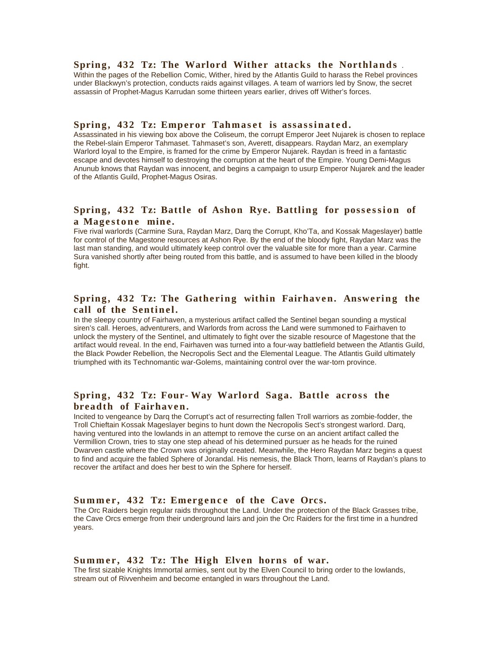#### **Spring, 432 Tz: The Warlord Wither attacks the Northlands.**

Within the pages of the Rebellion Comic, Wither, hired by the Atlantis Guild to harass the Rebel provinces under Blackwyn's protection, conducts raids against villages. A team of warriors led by Snow, the secret assassin of Prophet-Magus Karrudan some thirteen years earlier, drives off Wither's forces.

#### **Spring, 432 Tz: Emperor Tahmaset is assassinated.**

Assassinated in his viewing box above the Coliseum, the corrupt Emperor Jeet Nujarek is chosen to replace the Rebel-slain Emperor Tahmaset. Tahmaset's son, Averett, disappears. Raydan Marz, an exemplary Warlord loyal to the Empire, is framed for the crime by Emperor Nujarek. Raydan is freed in a fantastic escape and devotes himself to destroying the corruption at the heart of the Empire. Young Demi-Magus Anunub knows that Raydan was innocent, and begins a campaign to usurp Emperor Nujarek and the leader of the Atlantis Guild, Prophet-Magus Osiras.

# Spring, 432 Tz: Battle of Ashon Rye. Battling for possession of a Magestone mine.

Five rival warlords (Carmine Sura, Raydan Marz, Darq the Corrupt, Kho'Ta, and Kossak Mageslayer) battle for control of the Magestone resources at Ashon Rye. By the end of the bloody fight, Raydan Marz was the last man standing, and would ultimately keep control over the valuable site for more than a year. Carmine Sura vanished shortly after being routed from this battle, and is assumed to have been killed in the bloody fight.

# Spring, 432 Tz: The Gathering within Fairhaven. Answering the call of the Sentinel.

In the sleepy country of Fairhaven, a mysterious artifact called the Sentinel began sounding a mystical siren's call. Heroes, adventurers, and Warlords from across the Land were summoned to Fairhaven to unlock the mystery of the Sentinel, and ultimately to fight over the sizable resource of Magestone that the artifact would reveal. In the end, Fairhaven was turned into a four-way battlefield between the Atlantis Guild, the Black Powder Rebellion, the Necropolis Sect and the Elemental League. The Atlantis Guild ultimately triumphed with its Technomantic war-Golems, maintaining control over the war-torn province.

# Spring, 432 Tz: Four-Way Warlord Saga. Battle across the **breadth of Fairhaven.**

Incited to vengeance by Darq the Corrupt's act of resurrecting fallen Troll warriors as zombie-fodder, the Troll Chieftain Kossak Mageslayer begins to hunt down the Necropolis Sect's strongest warlord. Darq, having ventured into the lowlands in an attempt to remove the curse on an ancient artifact called the Vermillion Crown, tries to stay one step ahead of his determined pursuer as he heads for the ruined Dwarven castle where the Crown was originally created. Meanwhile, the Hero Raydan Marz begins a quest to find and acquire the fabled Sphere of Jorandal. His nemesis, the Black Thorn, learns of Raydan's plans to recover the artifact and does her best to win the Sphere for herself.

#### Summer, 432 Tz: Emergence of the Cave Orcs.

The Orc Raiders begin regular raids throughout the Land. Under the protection of the Black Grasses tribe, the Cave Orcs emerge from their underground lairs and join the Orc Raiders for the first time in a hundred years.

#### Summer, 432 Tz: The High Elven horns of war.

The first sizable Knights Immortal armies, sent out by the Elven Council to bring order to the lowlands, stream out of Rivvenheim and become entangled in wars throughout the Land.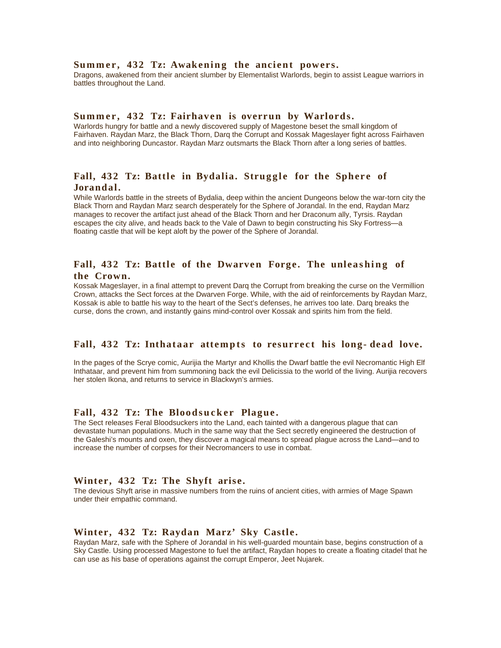#### Summer, 432 Tz: Awakening the ancient powers.

Dragons, awakened from their ancient slumber by Elementalist Warlords, begin to assist League warriors in battles throughout the Land.

#### Summer, 432 Tz: Fairhaven is overrun by Warlords.

Warlords hungry for battle and a newly discovered supply of Magestone beset the small kingdom of Fairhaven. Raydan Marz, the Black Thorn, Darq the Corrupt and Kossak Mageslayer fight across Fairhaven and into neighboring Duncastor. Raydan Marz outsmarts the Black Thorn after a long series of battles.

# Fall, 432 Tz: Battle in Bydalia. Struggle for the Sphere of **Jorandal.**

While Warlords battle in the streets of Bydalia, deep within the ancient Dungeons below the war-torn city the Black Thorn and Raydan Marz search desperately for the Sphere of Jorandal. In the end, Raydan Marz manages to recover the artifact just ahead of the Black Thorn and her Draconum ally, Tyrsis. Raydan escapes the city alive, and heads back to the Vale of Dawn to begin constructing his Sky Fortress—a floating castle that will be kept aloft by the power of the Sphere of Jorandal.

## Fall, 432 Tz: Battle of the Dwarven Forge. The unleashing of **the Crown.**

Kossak Mageslayer, in a final attempt to prevent Darq the Corrupt from breaking the curse on the Vermillion Crown, attacks the Sect forces at the Dwarven Forge. While, with the aid of reinforcements by Raydan Marz, Kossak is able to battle his way to the heart of the Sect's defenses, he arrives too late. Darq breaks the curse, dons the crown, and instantly gains mind-control over Kossak and spirits him from the field.

## Fall, 432 Tz: Inthataar attempts to resurrect his long-dead love.

In the pages of the Scrye comic, Aurijia the Martyr and Khollis the Dwarf battle the evil Necromantic High Elf Inthataar, and prevent him from summoning back the evil Delicissia to the world of the living. Aurijia recovers her stolen Ikona, and returns to service in Blackwyn's armies.

#### Fall, 432 Tz: The Bloodsucker Plague.

The Sect releases Feral Bloodsuckers into the Land, each tainted with a dangerous plague that can devastate human populations. Much in the same way that the Sect secretly engineered the destruction of the Galeshi's mounts and oxen, they discover a magical means to spread plague across the Land—and to increase the number of corpses for their Necromancers to use in combat.

#### **Winter, 432 Tz: The Shyft arise.**

The devious Shyft arise in massive numbers from the ruins of ancient cities, with armies of Mage Spawn under their empathic command.

#### **Winter, 432 Tz: Raydan Marz' Sky Castle.**

Raydan Marz, safe with the Sphere of Jorandal in his well-guarded mountain base, begins construction of a Sky Castle. Using processed Magestone to fuel the artifact, Raydan hopes to create a floating citadel that he can use as his base of operations against the corrupt Emperor, Jeet Nujarek.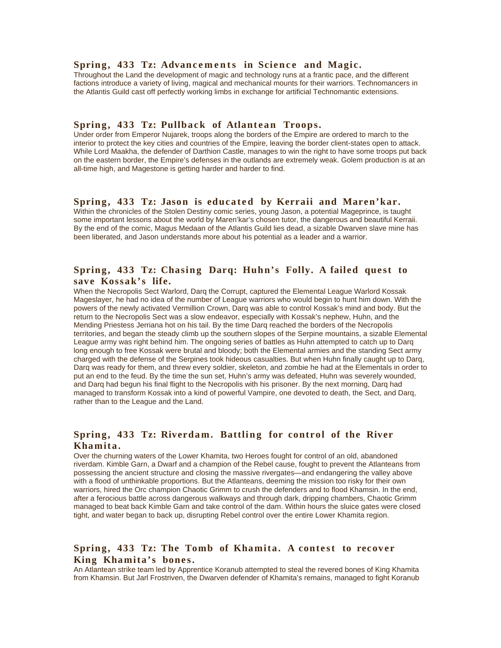#### Spring, 433 Tz: Advancements in Science and Magic.

Throughout the Land the development of magic and technology runs at a frantic pace, and the different factions introduce a variety of living, magical and mechanical mounts for their warriors. Technomancers in the Atlantis Guild cast off perfectly working limbs in exchange for artificial Technomantic extensions.

#### Spring, 433 Tz: Pullback of Atlantean Troops.

Under order from Emperor Nujarek, troops along the borders of the Empire are ordered to march to the interior to protect the key cities and countries of the Empire, leaving the border client-states open to attack. While Lord Maakha, the defender of Darthion Castle, manages to win the right to have some troops put back on the eastern border, the Empire's defenses in the outlands are extremely weak. Golem production is at an all-time high, and Magestone is getting harder and harder to find.

## Spring, 433 Tz: Jason is educated by Kerraii and Maren'kar.

Within the chronicles of the Stolen Destiny comic series, young Jason, a potential Mageprince, is taught some important lessons about the world by Maren'kar's chosen tutor, the dangerous and beautiful Kerraii. By the end of the comic, Magus Medaan of the Atlantis Guild lies dead, a sizable Dwarven slave mine has been liberated, and Jason understands more about his potential as a leader and a warrior.

# Spring, 433 Tz: Chasing Darq: Huhn's Folly. A failed quest to **save Kossak's life.**

When the Necropolis Sect Warlord, Darq the Corrupt, captured the Elemental League Warlord Kossak Mageslayer, he had no idea of the number of League warriors who would begin to hunt him down. With the powers of the newly activated Vermillion Crown, Darq was able to control Kossak's mind and body. But the return to the Necropolis Sect was a slow endeavor, especially with Kossak's nephew, Huhn, and the Mending Priestess Jerriana hot on his tail. By the time Darq reached the borders of the Necropolis territories, and began the steady climb up the southern slopes of the Serpine mountains, a sizable Elemental League army was right behind him. The ongoing series of battles as Huhn attempted to catch up to Darq long enough to free Kossak were brutal and bloody; both the Elemental armies and the standing Sect army charged with the defense of the Serpines took hideous casualties. But when Huhn finally caught up to Darq, Darq was ready for them, and threw every soldier, skeleton, and zombie he had at the Elementals in order to put an end to the feud. By the time the sun set, Huhn's army was defeated, Huhn was severely wounded, and Darq had begun his final flight to the Necropolis with his prisoner. By the next morning, Darq had managed to transform Kossak into a kind of powerful Vampire, one devoted to death, the Sect, and Darq, rather than to the League and the Land.

# Spring, 433 Tz: Riverdam. Battling for control of the River **Khamita.**

Over the churning waters of the Lower Khamita, two Heroes fought for control of an old, abandoned riverdam. Kimble Garn, a Dwarf and a champion of the Rebel cause, fought to prevent the Atlanteans from possessing the ancient structure and closing the massive rivergates—and endangering the valley above with a flood of unthinkable proportions. But the Atlanteans, deeming the mission too risky for their own warriors, hired the Orc champion Chaotic Grimm to crush the defenders and to flood Khamsin. In the end, after a ferocious battle across dangerous walkways and through dark, dripping chambers, Chaotic Grimm managed to beat back Kimble Garn and take control of the dam. Within hours the sluice gates were closed tight, and water began to back up, disrupting Rebel control over the entire Lower Khamita region.

# Spring, 433 Tz: The Tomb of Khamita. A contest to recover King Khamita's bones.

An Atlantean strike team led by Apprentice Koranub attempted to steal the revered bones of King Khamita from Khamsin. But Jarl Frostriven, the Dwarven defender of Khamita's remains, managed to fight Koranub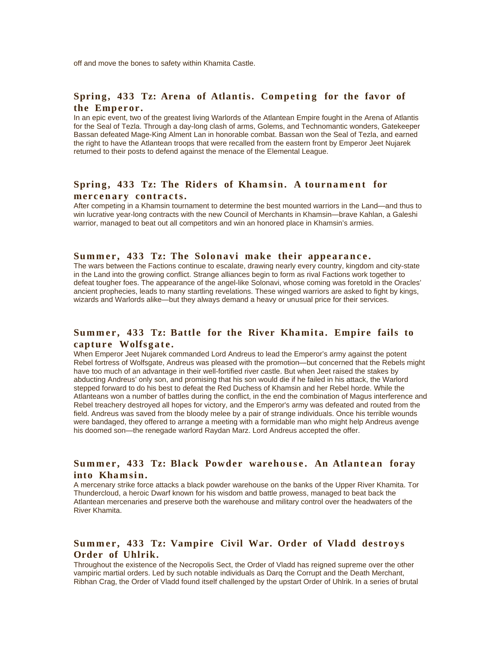off and move the bones to safety within Khamita Castle.

# Spring, 433 Tz: Arena of Atlantis. Competing for the favor of the Emperor.

In an epic event, two of the greatest living Warlords of the Atlantean Empire fought in the Arena of Atlantis for the Seal of Tezla. Through a day-long clash of arms, Golems, and Technomantic wonders, Gatekeeper Bassan defeated Mage-King Alment Lan in honorable combat. Bassan won the Seal of Tezla, and earned the right to have the Atlantean troops that were recalled from the eastern front by Emperor Jeet Nujarek returned to their posts to defend against the menace of the Elemental League.

# Spring, 433 Tz: The Riders of Khamsin. A tournament for  $mer can$  contracts.

After competing in a Khamsin tournament to determine the best mounted warriors in the Land—and thus to win lucrative year-long contracts with the new Council of Merchants in Khamsin—brave Kahlan, a Galeshi warrior, managed to beat out all competitors and win an honored place in Khamsin's armies.

# Summer, 433 Tz: The Solonavi make their appearance.

The wars between the Factions continue to escalate, drawing nearly every country, kingdom and city-state in the Land into the growing conflict. Strange alliances begin to form as rival Factions work together to defeat tougher foes. The appearance of the angel-like Solonavi, whose coming was foretold in the Oracles' ancient prophecies, leads to many startling revelations. These winged warriors are asked to fight by kings, wizards and Warlords alike—but they always demand a heavy or unusual price for their services.

# Summer, 433 Tz: Battle for the River Khamita. Empire fails to capture Wolfsgate.

When Emperor Jeet Nujarek commanded Lord Andreus to lead the Emperor's army against the potent Rebel fortress of Wolfsgate, Andreus was pleased with the promotion—but concerned that the Rebels might have too much of an advantage in their well-fortified river castle. But when Jeet raised the stakes by abducting Andreus' only son, and promising that his son would die if he failed in his attack, the Warlord stepped forward to do his best to defeat the Red Duchess of Khamsin and her Rebel horde. While the Atlanteans won a number of battles during the conflict, in the end the combination of Magus interference and Rebel treachery destroyed all hopes for victory, and the Emperor's army was defeated and routed from the field. Andreus was saved from the bloody melee by a pair of strange individuals. Once his terrible wounds were bandaged, they offered to arrange a meeting with a formidable man who might help Andreus avenge his doomed son—the renegade warlord Raydan Marz. Lord Andreus accepted the offer.

# Summer, 433 Tz: Black Powder warehouse. An Atlantean foray into Khamsin.

A mercenary strike force attacks a black powder warehouse on the banks of the Upper River Khamita. Tor Thundercloud, a heroic Dwarf known for his wisdom and battle prowess, managed to beat back the Atlantean mercenaries and preserve both the warehouse and military control over the headwaters of the River Khamita.

# **Sum m e r , 433 Tz: Vampire Civil War. Order of Vladd destroys Order of Uhlrik.**

Throughout the existence of the Necropolis Sect, the Order of Vladd has reigned supreme over the other vampiric martial orders. Led by such notable individuals as Darq the Corrupt and the Death Merchant, Ribhan Crag, the Order of Vladd found itself challenged by the upstart Order of Uhlrik. In a series of brutal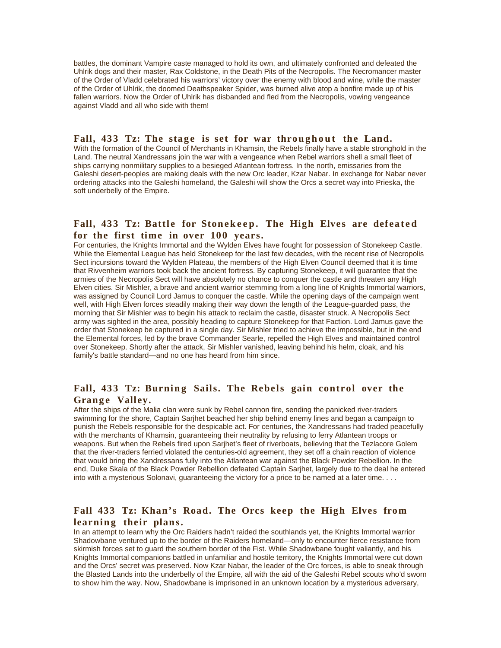battles, the dominant Vampire caste managed to hold its own, and ultimately confronted and defeated the Uhlrik dogs and their master, Rax Coldstone, in the Death Pits of the Necropolis. The Necromancer master of the Order of Vladd celebrated his warriors' victory over the enemy with blood and wine, while the master of the Order of Uhlrik, the doomed Deathspeaker Spider, was burned alive atop a bonfire made up of his fallen warriors. Now the Order of Uhlrik has disbanded and fled from the Necropolis, vowing vengeance against Vladd and all who side with them!

#### Fall, 433 Tz: The stage is set for war throughout the Land.

With the formation of the Council of Merchants in Khamsin, the Rebels finally have a stable stronghold in the Land. The neutral Xandressans join the war with a vengeance when Rebel warriors shell a small fleet of ships carrying nonmilitary supplies to a besieged Atlantean fortress. In the north, emissaries from the Galeshi desert-peoples are making deals with the new Orc leader, Kzar Nabar. In exchange for Nabar never ordering attacks into the Galeshi homeland, the Galeshi will show the Orcs a secret way into Prieska, the soft underbelly of the Empire.

# Fall, 433 Tz: Battle for Stonekeep. The High Elves are defeated **for the first time in over 100 years.**

For centuries, the Knights Immortal and the Wylden Elves have fought for possession of Stonekeep Castle. While the Elemental League has held Stonekeep for the last few decades, with the recent rise of Necropolis Sect incursions toward the Wylden Plateau, the members of the High Elven Council deemed that it is time that Rivvenheim warriors took back the ancient fortress. By capturing Stonekeep, it will guarantee that the armies of the Necropolis Sect will have absolutely no chance to conquer the castle and threaten any High Elven cities. Sir Mishler, a brave and ancient warrior stemming from a long line of Knights Immortal warriors, was assigned by Council Lord Jamus to conquer the castle. While the opening days of the campaign went well, with High Elven forces steadily making their way down the length of the League-guarded pass, the morning that Sir Mishler was to begin his attack to reclaim the castle, disaster struck. A Necropolis Sect army was sighted in the area, possibly heading to capture Stonekeep for that Faction. Lord Jamus gave the order that Stonekeep be captured in a single day. Sir Mishler tried to achieve the impossible, but in the end the Elemental forces, led by the brave Commander Searle, repelled the High Elves and maintained control over Stonekeep. Shortly after the attack, Sir Mishler vanished, leaving behind his helm, cloak, and his family's battle standard—and no one has heard from him since.

# Fall, 433 Tz: Burning Sails. The Rebels gain control over the **Grange Valley.**

After the ships of the Malia clan were sunk by Rebel cannon fire, sending the panicked river-traders swimming for the shore, Captain Sarjhet beached her ship behind enemy lines and began a campaign to punish the Rebels responsible for the despicable act. For centuries, the Xandressans had traded peacefully with the merchants of Khamsin, guaranteeing their neutrality by refusing to ferry Atlantean troops or weapons. But when the Rebels fired upon Sarjhet's fleet of riverboats, believing that the Tezlacore Golem that the river-traders ferried violated the centuries-old agreement, they set off a chain reaction of violence that would bring the Xandressans fully into the Atlantean war against the Black Powder Rebellion. In the end, Duke Skala of the Black Powder Rebellion defeated Captain Sarjhet, largely due to the deal he entered into with a mysterious Solonavi, guaranteeing the victory for a price to be named at a later time. . . .

# **Fall 433 Tz: Khan's Road. The Orcs keep the High Elves from**  learning their plans.

In an attempt to learn why the Orc Raiders hadn't raided the southlands yet, the Knights Immortal warrior Shadowbane ventured up to the border of the Raiders homeland—only to encounter fierce resistance from skirmish forces set to guard the southern border of the Fist. While Shadowbane fought valiantly, and his Knights Immortal companions battled in unfamiliar and hostile territory, the Knights Immortal were cut down and the Orcs' secret was preserved. Now Kzar Nabar, the leader of the Orc forces, is able to sneak through the Blasted Lands into the underbelly of the Empire, all with the aid of the Galeshi Rebel scouts who'd sworn to show him the way. Now, Shadowbane is imprisoned in an unknown location by a mysterious adversary,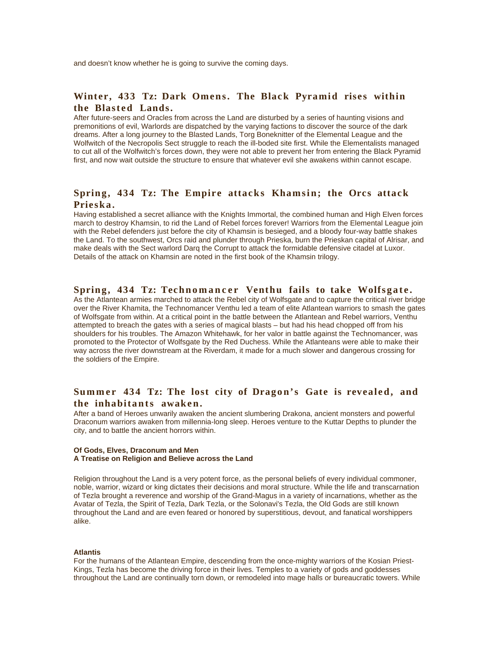and doesn't know whether he is going to survive the coming days.

# Winter, 433 Tz: Dark Omens. The Black Pyramid rises within the Blasted Lands.

After future-seers and Oracles from across the Land are disturbed by a series of haunting visions and premonitions of evil, Warlords are dispatched by the varying factions to discover the source of the dark dreams. After a long journey to the Blasted Lands, Torg Boneknitter of the Elemental League and the Wolfwitch of the Necropolis Sect struggle to reach the ill-boded site first. While the Elementalists managed to cut all of the Wolfwitch's forces down, they were not able to prevent her from entering the Black Pyramid first, and now wait outside the structure to ensure that whatever evil she awakens within cannot escape.

# Spring, 434 Tz: The Empire attacks Khamsin; the Orcs attack Prieska.

Having established a secret alliance with the Knights Immortal, the combined human and High Elven forces march to destroy Khamsin, to rid the Land of Rebel forces forever! Warriors from the Elemental League join with the Rebel defenders just before the city of Khamsin is besieged, and a bloody four-way battle shakes the Land. To the southwest, Orcs raid and plunder through Prieska, burn the Prieskan capital of Alrisar, and make deals with the Sect warlord Darq the Corrupt to attack the formidable defensive citadel at Luxor. Details of the attack on Khamsin are noted in the first book of the Khamsin trilogy.

#### **Spring, 434 Tz: Technomancer Venthu fails to take Wolfsgate.**

As the Atlantean armies marched to attack the Rebel city of Wolfsgate and to capture the critical river bridge over the River Khamita, the Technomancer Venthu led a team of elite Atlantean warriors to smash the gates of Wolfsgate from within. At a critical point in the battle between the Atlantean and Rebel warriors, Venthu attempted to breach the gates with a series of magical blasts – but had his head chopped off from his shoulders for his troubles. The Amazon Whitehawk, for her valor in battle against the Technomancer, was promoted to the Protector of Wolfsgate by the Red Duchess. While the Atlanteans were able to make their way across the river downstream at the Riverdam, it made for a much slower and dangerous crossing for the soldiers of the Empire.

# Summer 434 Tz: The lost city of Dragon's Gate is revealed, and **the inhabitants awaken.**

After a band of Heroes unwarily awaken the ancient slumbering Drakona, ancient monsters and powerful Draconum warriors awaken from millennia-long sleep. Heroes venture to the Kuttar Depths to plunder the city, and to battle the ancient horrors within.

#### **Of Gods, Elves, Draconum and Men A Treatise on Religion and Believe across the Land**

Religion throughout the Land is a very potent force, as the personal beliefs of every individual commoner, noble, warrior, wizard or king dictates their decisions and moral structure. While the life and transcarnation of Tezla brought a reverence and worship of the Grand-Magus in a variety of incarnations, whether as the Avatar of Tezla, the Spirit of Tezla, Dark Tezla, or the Solonavi's Tezla, the Old Gods are still known throughout the Land and are even feared or honored by superstitious, devout, and fanatical worshippers alike.

#### **Atlantis**

For the humans of the Atlantean Empire, descending from the once-mighty warriors of the Kosian Priest-Kings, Tezla has become the driving force in their lives. Temples to a variety of gods and goddesses throughout the Land are continually torn down, or remodeled into mage halls or bureaucratic towers. While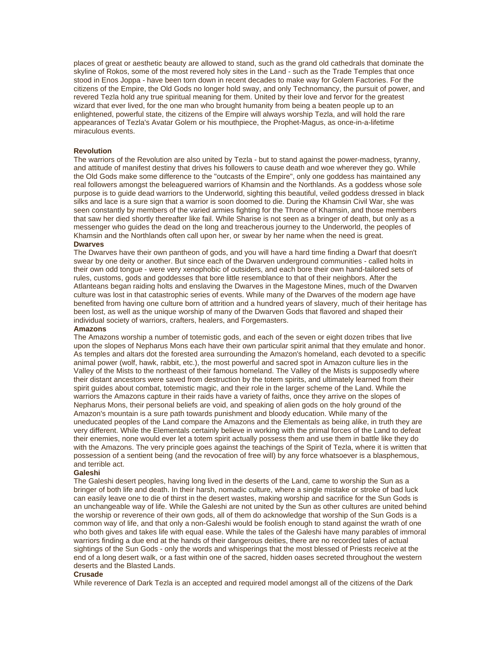places of great or aesthetic beauty are allowed to stand, such as the grand old cathedrals that dominate the skyline of Rokos, some of the most revered holy sites in the Land - such as the Trade Temples that once stood in Enos Joppa - have been torn down in recent decades to make way for Golem Factories. For the citizens of the Empire, the Old Gods no longer hold sway, and only Technomancy, the pursuit of power, and revered Tezla hold any true spiritual meaning for them. United by their love and fervor for the greatest wizard that ever lived, for the one man who brought humanity from being a beaten people up to an enlightened, powerful state, the citizens of the Empire will always worship Tezla, and will hold the rare appearances of Tezla's Avatar Golem or his mouthpiece, the Prophet-Magus, as once-in-a-lifetime miraculous events.

#### **Revolution**

The warriors of the Revolution are also united by Tezla - but to stand against the power-madness, tyranny, and attitude of manifest destiny that drives his followers to cause death and woe wherever they go. While the Old Gods make some difference to the "outcasts of the Empire", only one goddess has maintained any real followers amongst the beleaguered warriors of Khamsin and the Northlands. As a goddess whose sole purpose is to guide dead warriors to the Underworld, sighting this beautiful, veiled goddess dressed in black silks and lace is a sure sign that a warrior is soon doomed to die. During the Khamsin Civil War, she was seen constantly by members of the varied armies fighting for the Throne of Khamsin, and those members that saw her died shortly thereafter like fail. While Sharise is not seen as a bringer of death, but only as a messenger who guides the dead on the long and treacherous journey to the Underworld, the peoples of Khamsin and the Northlands often call upon her, or swear by her name when the need is great. **Dwarves**

The Dwarves have their own pantheon of gods, and you will have a hard time finding a Dwarf that doesn't swear by one deity or another. But since each of the Dwarven underground communities - called holts in their own odd tongue - were very xenophobic of outsiders, and each bore their own hand-tailored sets of rules, customs, gods and goddesses that bore little resemblance to that of their neighbors. After the Atlanteans began raiding holts and enslaving the Dwarves in the Magestone Mines, much of the Dwarven culture was lost in that catastrophic series of events. While many of the Dwarves of the modern age have benefited from having one culture born of attrition and a hundred years of slavery, much of their heritage has been lost, as well as the unique worship of many of the Dwarven Gods that flavored and shaped their individual society of warriors, crafters, healers, and Forgemasters.

#### **Amazons**

The Amazons worship a number of totemistic gods, and each of the seven or eight dozen tribes that live upon the slopes of Nepharus Mons each have their own particular spirit animal that they emulate and honor. As temples and altars dot the forested area surrounding the Amazon's homeland, each devoted to a specific animal power (wolf, hawk, rabbit, etc.), the most powerful and sacred spot in Amazon culture lies in the Valley of the Mists to the northeast of their famous homeland. The Valley of the Mists is supposedly where their distant ancestors were saved from destruction by the totem spirits, and ultimately learned from their spirit guides about combat, totemistic magic, and their role in the larger scheme of the Land. While the warriors the Amazons capture in their raids have a variety of faiths, once they arrive on the slopes of Nepharus Mons, their personal beliefs are void, and speaking of alien gods on the holy ground of the Amazon's mountain is a sure path towards punishment and bloody education. While many of the uneducated peoples of the Land compare the Amazons and the Elementals as being alike, in truth they are very different. While the Elementals certainly believe in working with the primal forces of the Land to defeat their enemies, none would ever let a totem spirit actually possess them and use them in battle like they do with the Amazons. The very principle goes against the teachings of the Spirit of Tezla, where it is written that possession of a sentient being (and the revocation of free will) by any force whatsoever is a blasphemous, and terrible act.

#### **Galeshi**

The Galeshi desert peoples, having long lived in the deserts of the Land, came to worship the Sun as a bringer of both life and death. In their harsh, nomadic culture, where a single mistake or stroke of bad luck can easily leave one to die of thirst in the desert wastes, making worship and sacrifice for the Sun Gods is an unchangeable way of life. While the Galeshi are not united by the Sun as other cultures are united behind the worship or reverence of their own gods, all of them do acknowledge that worship of the Sun Gods is a common way of life, and that only a non-Galeshi would be foolish enough to stand against the wrath of one who both gives and takes life with equal ease. While the tales of the Galeshi have many parables of immoral warriors finding a due end at the hands of their dangerous deities, there are no recorded tales of actual sightings of the Sun Gods - only the words and whisperings that the most blessed of Priests receive at the end of a long desert walk, or a fast within one of the sacred, hidden oases secreted throughout the western deserts and the Blasted Lands.

#### **Crusade**

While reverence of Dark Tezla is an accepted and required model amongst all of the citizens of the Dark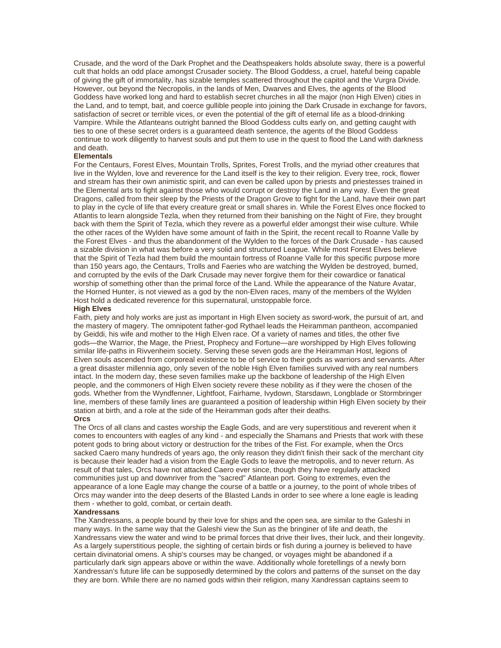Crusade, and the word of the Dark Prophet and the Deathspeakers holds absolute sway, there is a powerful cult that holds an odd place amongst Crusader society. The Blood Goddess, a cruel, hateful being capable of giving the gift of immortality, has sizable temples scattered throughout the capitol and the Vurgra Divide. However, out beyond the Necropolis, in the lands of Men, Dwarves and Elves, the agents of the Blood Goddess have worked long and hard to establish secret churches in all the major (non High Elven) cities in the Land, and to tempt, bait, and coerce gullible people into joining the Dark Crusade in exchange for favors, satisfaction of secret or terrible vices, or even the potential of the gift of eternal life as a blood-drinking Vampire. While the Atlanteans outright banned the Blood Goddess cults early on, and getting caught with ties to one of these secret orders is a guaranteed death sentence, the agents of the Blood Goddess continue to work diligently to harvest souls and put them to use in the quest to flood the Land with darkness and death.

#### **Elementals**

For the Centaurs, Forest Elves, Mountain Trolls, Sprites, Forest Trolls, and the myriad other creatures that live in the Wylden, love and reverence for the Land itself is the key to their religion. Every tree, rock, flower and stream has their own animistic spirit, and can even be called upon by priests and priestesses trained in the Elemental arts to fight against those who would corrupt or destroy the Land in any way. Even the great Dragons, called from their sleep by the Priests of the Dragon Grove to fight for the Land, have their own part to play in the cycle of life that every creature great or small shares in. While the Forest Elves once flocked to Atlantis to learn alongside Tezla, when they returned from their banishing on the Night of Fire, they brought back with them the Spirit of Tezla, which they revere as a powerful elder amongst their wise culture. While the other races of the Wylden have some amount of faith in the Spirit, the recent recall to Roanne Valle by the Forest Elves - and thus the abandonment of the Wylden to the forces of the Dark Crusade - has caused a sizable division in what was before a very solid and structured League. While most Forest Elves believe that the Spirit of Tezla had them build the mountain fortress of Roanne Valle for this specific purpose more than 150 years ago, the Centaurs, Trolls and Faeries who are watching the Wylden be destroyed, burned, and corrupted by the evils of the Dark Crusade may never forgive them for their cowardice or fanatical worship of something other than the primal force of the Land. While the appearance of the Nature Avatar, the Horned Hunter, is not viewed as a god by the non-Elven races, many of the members of the Wylden Host hold a dedicated reverence for this supernatural, unstoppable force.

#### **High Elves**

Faith, piety and holy works are just as important in High Elven society as sword-work, the pursuit of art, and the mastery of magery. The omnipotent father-god Rythael leads the Heiramman pantheon, accompanied by Geiddi, his wife and mother to the High Elven race. Of a variety of names and titles, the other five gods—the Warrior, the Mage, the Priest, Prophecy and Fortune—are worshipped by High Elves following similar life-paths in Rivvenheim society. Serving these seven gods are the Heiramman Host, legions of Elven souls ascended from corporeal existence to be of service to their gods as warriors and servants. After a great disaster millennia ago, only seven of the noble High Elven families survived with any real numbers intact. In the modern day, these seven families make up the backbone of leadership of the High Elven people, and the commoners of High Elven society revere these nobility as if they were the chosen of the gods. Whether from the Wyndfenner, Lightfoot, Fairhame, Ivydown, Starsdawn, Longblade or Stormbringer line, members of these family lines are guaranteed a position of leadership within High Elven society by their station at birth, and a role at the side of the Heiramman gods after their deaths.

#### **Orcs**

The Orcs of all clans and castes worship the Eagle Gods, and are very superstitious and reverent when it comes to encounters with eagles of any kind - and especially the Shamans and Priests that work with these potent gods to bring about victory or destruction for the tribes of the Fist. For example, when the Orcs sacked Caero many hundreds of years ago, the only reason they didn't finish their sack of the merchant city is because their leader had a vision from the Eagle Gods to leave the metropolis, and to never return. As result of that tales, Orcs have not attacked Caero ever since, though they have regularly attacked communities just up and downriver from the "sacred" Atlantean port. Going to extremes, even the appearance of a lone Eagle may change the course of a battle or a journey, to the point of whole tribes of Orcs may wander into the deep deserts of the Blasted Lands in order to see where a lone eagle is leading them - whether to gold, combat, or certain death.

#### **Xandressans**

The Xandressans, a people bound by their love for ships and the open sea, are similar to the Galeshi in many ways. In the same way that the Galeshi view the Sun as the bringiner of life and death, the Xandressans view the water and wind to be primal forces that drive their lives, their luck, and their longevity. As a largely superstitious people, the sighting of certain birds or fish during a journey is believed to have certain divinatorial omens. A ship's courses may be changed, or voyages might be abandoned if a particularly dark sign appears above or within the wave. Additionally whole foretellings of a newly born Xandressan's future life can be supposedly determined by the colors and patterns of the sunset on the day they are born. While there are no named gods within their religion, many Xandressan captains seem to